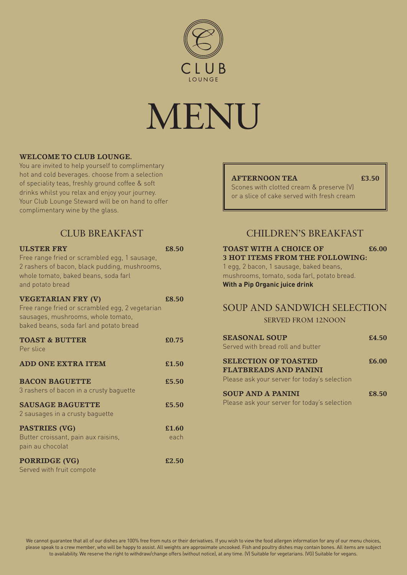

# MENU

#### **WELCOME TO CLUB LOUNGE.**

You are invited to help yourself to complimentary hot and cold beverages. choose from a selection of speciality teas, freshly ground coffee & soft drinks whilst you relax and enjoy your journey. Your Club Lounge Steward will be on hand to offer complimentary wine by the glass.

## CLUB BREAKFAST

| <b>ULSTER FRY</b>                                                                                                                      | £8.50 |
|----------------------------------------------------------------------------------------------------------------------------------------|-------|
| Free range fried or scrambled egg, 1 sausage,<br>2 rashers of bacon, black pudding, mushrooms,<br>whole tomato, baked beans, soda farl |       |
| and potato bread                                                                                                                       |       |
| <b>VEGETARIAN FRY (V)</b>                                                                                                              | £8.50 |
| Free range fried or scrambled egg, 2 vegetarian<br>sausages, mushrooms, whole tomato,<br>baked beans, soda farl and potato bread       |       |
| <b>TOAST &amp; BUTTER</b>                                                                                                              | £0.75 |
| Per slice                                                                                                                              |       |
| <b>ADD ONE EXTRA ITEM</b>                                                                                                              | £1.50 |
| <b>BACON BAGUETTE</b>                                                                                                                  | £5.50 |
| 3 rashers of bacon in a crusty baguette                                                                                                |       |
| <b>SAUSAGE BAGUETTE</b>                                                                                                                | £5.50 |
| 2 sausages in a crusty baguette                                                                                                        |       |
| PASTRIES (VG)                                                                                                                          | £1.60 |
| Butter croissant, pain aux raisins,<br>pain au chocolat                                                                                | each  |
| <b>PORRIDGE (VG)</b>                                                                                                                   | £2.50 |

Served with fruit compote

#### **AFTERNOON TEA £3.50**

Scones with clotted cream & preserve (V) or a slice of cake served with fresh cream

## CHILDREN'S BREAKFAST

#### **TOAST WITH A CHOICE OF £6.00 3 HOT ITEMS FROM THE FOLLOWING:**

1 egg, 2 bacon, 1 sausage, baked beans, mushrooms, tomato, soda farl, potato bread. **With a Pip Organic juice drink**

### SOUP AND SANDWICH SELECTION

SERVED FROM 12NOON

| <b>SEASONAL SOUP</b><br>Served with bread roll and butter                                                   | £4.50 |
|-------------------------------------------------------------------------------------------------------------|-------|
| <b>SELECTION OF TOASTED</b><br><b>FLATBREADS AND PANINI</b><br>Please ask your server for today's selection | £6.00 |
| <b>SOUP AND A PANINI</b><br>Please ask your server for today's selection                                    | £8.50 |